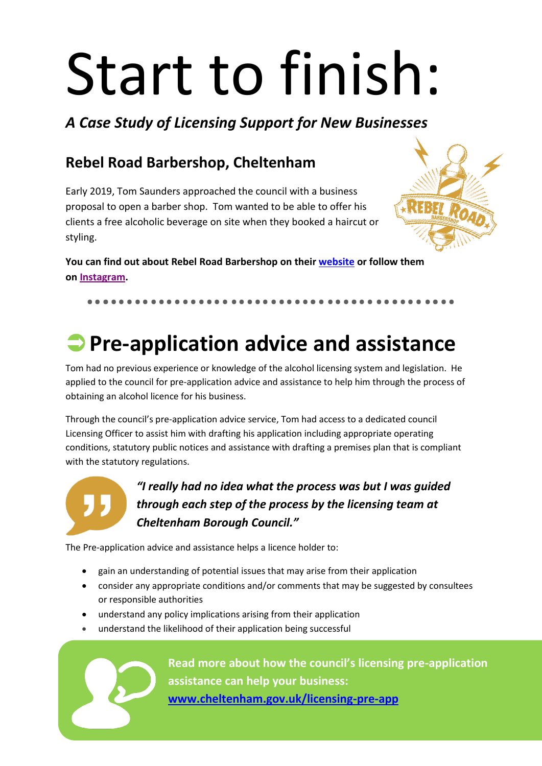# Start to finish:

*A Case Study of Licensing Support for New Businesses*

### **Rebel Road Barbershop, Cheltenham**

Early 2019, Tom Saunders approached the council with a business proposal to open a barber shop. Tom wanted to be able to offer his clients a free alcoholic beverage on site when they booked a haircut or styling.



**You can find out about Rebel Road Barbershop on their [website](http://www.rebelroadbarbershop.com/) or follow them on [Instagram.](https://www.instagram.com/rebelroadbarbershop)**

## **Pre-application advice and assistance**

Tom had no previous experience or knowledge of the alcohol licensing system and legislation. He applied to the council for pre-application advice and assistance to help him through the process of obtaining an alcohol licence for his business.

Through the council's pre-application advice service, Tom had access to a dedicated council Licensing Officer to assist him with drafting his application including appropriate operating conditions, statutory public notices and assistance with drafting a premises plan that is compliant with the statutory regulations.



#### *"I really had no idea what the process was but I was guided through each step of the process by the licensing team at Cheltenham Borough Council."*

The Pre-application advice and assistance helps a licence holder to:

- gain an understanding of potential issues that may arise from their application
- consider any appropriate conditions and/or comments that may be suggested by consultees or responsible authorities
- understand any policy implications arising from their application
- understand the likelihood of their application being successful

**Read more about how the council's licensing pre-application assistance can help your business: [www.cheltenham.gov.uk/licensing-pre-app](http://www.cheltenham.gov.uk/licensing-pre-app)**